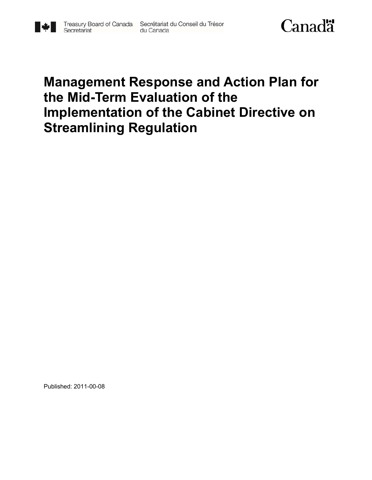

## **Management Response and Action Plan for the Mid-Term Evaluation of the Implementation of the Cabinet Directive on Streamlining Regulation**

Published: 2011-00-08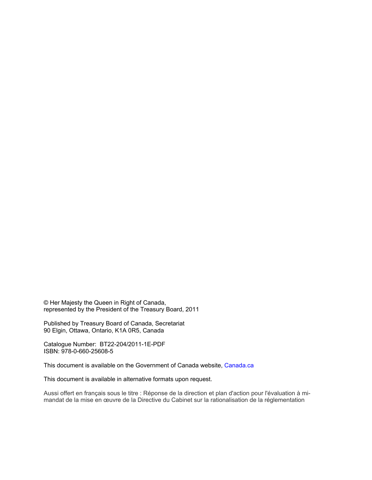© Her Majesty the Queen in Right of Canada, represented by the President of the Treasury Board, 2011

Published by Treasury Board of Canada, Secretariat 90 Elgin, Ottawa, Ontario, K1A 0R5, Canada

Catalogue Number: BT22-204/2011-1E-PDF ISBN: 978-0-660-25608-5

This document is available on the Government of Canada website, Canada.ca

This document is available in alternative formats upon request.

Aussi offert en français sous le titre : Réponse de la direction et plan d'action pour l'évaluation à mimandat de la mise en œuvre de la Directive du Cabinet sur la rationalisation de la réglementation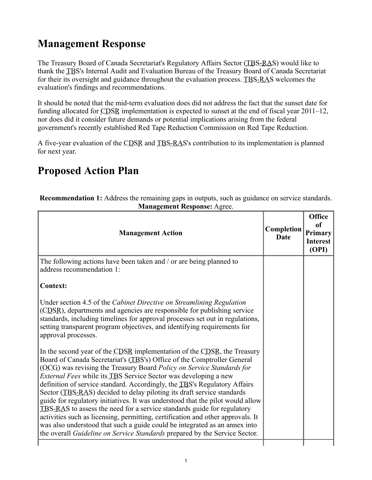## **Management Response**

The Treasury Board of Canada Secretariat's Regulatory Affairs Sector (TBS-RAS) would like to thank the TBS's Internal Audit and Evaluation Bureau of the Treasury Board of Canada Secretariat for their its oversight and guidance throughout the evaluation process. TBS-RAS welcomes the evaluation's findings and recommendations.

It should be noted that the mid-term evaluation does did not address the fact that the sunset date for funding allocated for CDSR implementation is expected to sunset at the end of fiscal year 2011–12, nor does did it consider future demands or potential implications arising from the federal government's recently established Red Tape Reduction Commission on Red Tape Reduction.

A five-year evaluation of the CDSR and TBS-RAS's contribution to its implementation is planned for next year.

## **Proposed Action Plan**

**Recommendation 1:** Address the remaining gaps in outputs, such as guidance on service standards. **Management Response:** Agree.

| <b>Management Action</b>                                                                                                                                                                                                                                                                                                                                                                                                                                                                                                                                                                                                                                                                                                                                                                                                                                                 | Completion<br>Date | <b>Office</b><br>of<br>Primary<br><b>Interest</b><br>(OPI) |
|--------------------------------------------------------------------------------------------------------------------------------------------------------------------------------------------------------------------------------------------------------------------------------------------------------------------------------------------------------------------------------------------------------------------------------------------------------------------------------------------------------------------------------------------------------------------------------------------------------------------------------------------------------------------------------------------------------------------------------------------------------------------------------------------------------------------------------------------------------------------------|--------------------|------------------------------------------------------------|
| The following actions have been taken and / or are being planned to<br>address recommendation 1:                                                                                                                                                                                                                                                                                                                                                                                                                                                                                                                                                                                                                                                                                                                                                                         |                    |                                                            |
| <b>Context:</b>                                                                                                                                                                                                                                                                                                                                                                                                                                                                                                                                                                                                                                                                                                                                                                                                                                                          |                    |                                                            |
| Under section 4.5 of the Cabinet Directive on Streamlining Regulation<br>(CDSR), departments and agencies are responsible for publishing service<br>standards, including timelines for approval processes set out in regulations,<br>setting transparent program objectives, and identifying requirements for<br>approval processes.                                                                                                                                                                                                                                                                                                                                                                                                                                                                                                                                     |                    |                                                            |
| In the second year of the CDSR implementation of the CDSR, the Treasury<br>Board of Canada Secretariat's (TBS's) Office of the Comptroller General<br>(OCG) was revising the Treasury Board Policy on Service Standards for<br><i>External Fees</i> while its TBS Service Sector was developing a new<br>definition of service standard. Accordingly, the TBS's Regulatory Affairs<br>Sector (TBS-RAS) decided to delay piloting its draft service standards<br>guide for regulatory initiatives. It was understood that the pilot would allow<br>TBS-RAS to assess the need for a service standards guide for regulatory<br>activities such as licensing, permitting, certification and other approvals. It<br>was also understood that such a guide could be integrated as an annex into<br>the overall Guideline on Service Standards prepared by the Service Sector. |                    |                                                            |
|                                                                                                                                                                                                                                                                                                                                                                                                                                                                                                                                                                                                                                                                                                                                                                                                                                                                          |                    |                                                            |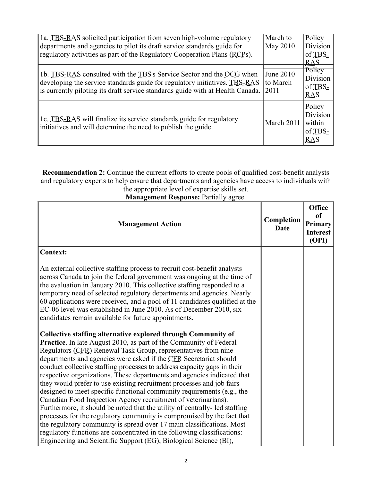| 1a. TBS-RAS solicited participation from seven high-volume regulatory<br>departments and agencies to pilot its draft service standards guide for<br>regulatory activities as part of the Regulatory Cooperation Plans (RCPs).        | March to<br>May 2010          | Policy<br>Division<br>of TBS-<br>RAS           |
|--------------------------------------------------------------------------------------------------------------------------------------------------------------------------------------------------------------------------------------|-------------------------------|------------------------------------------------|
| 1b. TBS-RAS consulted with the TBS's Service Sector and the OCG when<br>developing the service standards guide for regulatory initiatives. TBS-RAS<br>is currently piloting its draft service standards guide with at Health Canada. | June 2010<br>to March<br>2011 | Policy<br><b>Division</b><br>of TBS-<br>RAS    |
| 1c. TBS-RAS will finalize its service standards guide for regulatory<br>initiatives and will determine the need to publish the guide.                                                                                                | March 2011                    | Policy<br>Division<br>within<br>of TBS-<br>RAS |

**Recommendation 2:** Continue the current efforts to create pools of qualified cost-benefit analysts and regulatory experts to help ensure that departments and agencies have access to individuals with the appropriate level of expertise skills set.

**Management Response:** Partially agree.

٦

| <b>Management Action</b>                                                                                                                                                                                                                                                                                                                                                                                                                                                                                              | Completion<br><b>Date</b> | <b>Office</b><br>of<br>Primary<br><b>Interest</b><br>(OPI) |
|-----------------------------------------------------------------------------------------------------------------------------------------------------------------------------------------------------------------------------------------------------------------------------------------------------------------------------------------------------------------------------------------------------------------------------------------------------------------------------------------------------------------------|---------------------------|------------------------------------------------------------|
| <b>Context:</b>                                                                                                                                                                                                                                                                                                                                                                                                                                                                                                       |                           |                                                            |
| An external collective staffing process to recruit cost-benefit analysts<br>across Canada to join the federal government was ongoing at the time of<br>the evaluation in January 2010. This collective staffing responded to a<br>temporary need of selected regulatory departments and agencies. Nearly<br>60 applications were received, and a pool of 11 candidates qualified at the<br>EC-06 level was established in June 2010. As of December 2010, six<br>candidates remain available for future appointments. |                           |                                                            |
| Collective staffing alternative explored through Community of                                                                                                                                                                                                                                                                                                                                                                                                                                                         |                           |                                                            |
| <b>Practice</b> . In late August 2010, as part of the Community of Federal<br>Regulators (CER) Renewal Task Group, representatives from nine                                                                                                                                                                                                                                                                                                                                                                          |                           |                                                            |
| departments and agencies were asked if the CFR Secretariat should                                                                                                                                                                                                                                                                                                                                                                                                                                                     |                           |                                                            |
| conduct collective staffing processes to address capacity gaps in their<br>respective organizations. These departments and agencies indicated that                                                                                                                                                                                                                                                                                                                                                                    |                           |                                                            |
| they would prefer to use existing recruitment processes and job fairs                                                                                                                                                                                                                                                                                                                                                                                                                                                 |                           |                                                            |
| designed to meet specific functional community requirements (e.g., the                                                                                                                                                                                                                                                                                                                                                                                                                                                |                           |                                                            |
| Canadian Food Inspection Agency recruitment of veterinarians).<br>Furthermore, it should be noted that the utility of centrally-led staffing                                                                                                                                                                                                                                                                                                                                                                          |                           |                                                            |
| processes for the regulatory community is compromised by the fact that                                                                                                                                                                                                                                                                                                                                                                                                                                                |                           |                                                            |
| the regulatory community is spread over 17 main classifications. Most                                                                                                                                                                                                                                                                                                                                                                                                                                                 |                           |                                                            |
| regulatory functions are concentrated in the following classifications:<br>Engineering and Scientific Support (EG), Biological Science (BI),                                                                                                                                                                                                                                                                                                                                                                          |                           |                                                            |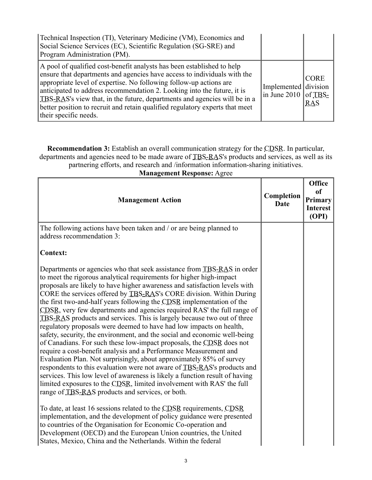| Technical Inspection (TI), Veterinary Medicine (VM), Economics and<br>Social Science Services (EC), Scientific Regulation (SG-SRE) and<br>Program Administration (PM).                                                                                                                                                                                                                                                                                                                    |                                              |                           |
|-------------------------------------------------------------------------------------------------------------------------------------------------------------------------------------------------------------------------------------------------------------------------------------------------------------------------------------------------------------------------------------------------------------------------------------------------------------------------------------------|----------------------------------------------|---------------------------|
| A pool of qualified cost-benefit analysts has been established to help<br>ensure that departments and agencies have access to individuals with the<br>appropriate level of expertise. No following follow-up actions are<br>anticipated to address recommendation 2. Looking into the future, it is<br>TBS-RAS's view that, in the future, departments and agencies will be in a<br>better position to recruit and retain qualified regulatory experts that meet<br>their specific needs. | Implemented division<br>in June 2010 of TBS- | <b>CORE</b><br><b>RAS</b> |

**Recommendation 3:** Establish an overall communication strategy for the CDSR. In particular, departments and agencies need to be made aware of TBS-RAS's products and services, as well as its partnering efforts, and research and /information information-sharing initiatives.

| <b>Management Response: Agree</b>                                                                                                                                                                                                                                                                                                                                                                                                                                                                                                                                                                                                                                                                                                                                                                                                                                                                                                                                                                                                                                                                                                                                                                                                                                                                                                                                                                                                                                                                                                                        |                           |                                                            |
|----------------------------------------------------------------------------------------------------------------------------------------------------------------------------------------------------------------------------------------------------------------------------------------------------------------------------------------------------------------------------------------------------------------------------------------------------------------------------------------------------------------------------------------------------------------------------------------------------------------------------------------------------------------------------------------------------------------------------------------------------------------------------------------------------------------------------------------------------------------------------------------------------------------------------------------------------------------------------------------------------------------------------------------------------------------------------------------------------------------------------------------------------------------------------------------------------------------------------------------------------------------------------------------------------------------------------------------------------------------------------------------------------------------------------------------------------------------------------------------------------------------------------------------------------------|---------------------------|------------------------------------------------------------|
| <b>Management Action</b>                                                                                                                                                                                                                                                                                                                                                                                                                                                                                                                                                                                                                                                                                                                                                                                                                                                                                                                                                                                                                                                                                                                                                                                                                                                                                                                                                                                                                                                                                                                                 | Completion<br><b>Date</b> | <b>Office</b><br>of<br>Primary<br><b>Interest</b><br>(OPI) |
| The following actions have been taken and / or are being planned to<br>address recommendation 3:<br><b>Context:</b>                                                                                                                                                                                                                                                                                                                                                                                                                                                                                                                                                                                                                                                                                                                                                                                                                                                                                                                                                                                                                                                                                                                                                                                                                                                                                                                                                                                                                                      |                           |                                                            |
| Departments or agencies who that seek assistance from TBS-RAS in order<br>to meet the rigorous analytical requirements for higher high-impact<br>proposals are likely to have higher awareness and satisfaction levels with<br>CORE the services offered by TBS-RAS's CORE division. Within During<br>the first two-and-half years following the CDSR implementation of the<br>CDSR, very few departments and agencies required RAS' the full range of<br>TBS-RAS products and services. This is largely because two out of three<br>regulatory proposals were deemed to have had low impacts on health,<br>safety, security, the environment, and the social and economic well-being<br>of Canadians. For such these low-impact proposals, the CDSR does not<br>require a cost-benefit analysis and a Performance Measurement and<br>Evaluation Plan. Not surprisingly, about approximately 85% of survey<br>respondents to this evaluation were not aware of TBS-RAS's products and<br>services. This low level of awareness is likely a function result of having<br>limited exposures to the CDSR, limited involvement with RAS' the full<br>range of TBS-RAS products and services, or both.<br>To date, at least 16 sessions related to the CDSR requirements, CDSR<br>implementation, and the development of policy guidance were presented<br>to countries of the Organisation for Economic Co-operation and<br>Development (OECD) and the European Union countries, the United<br>States, Mexico, China and the Netherlands. Within the federal |                           |                                                            |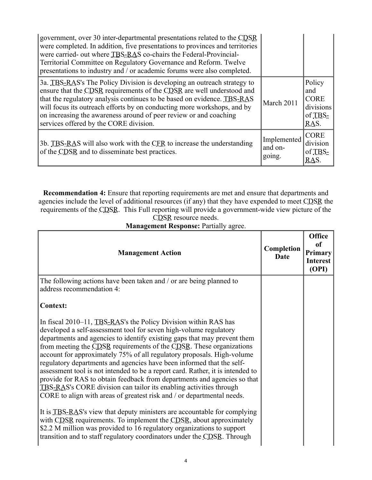| government, over 30 inter-departmental presentations related to the CDSR<br>were completed. In addition, five presentations to provinces and territories<br>were carried- out where TBS-RAS co-chairs the Federal-Provincial-<br>Territorial Committee on Regulatory Governance and Reform. Twelve<br>presentations to industry and / or academic forums were also completed.                                         |                                  |                                                              |
|-----------------------------------------------------------------------------------------------------------------------------------------------------------------------------------------------------------------------------------------------------------------------------------------------------------------------------------------------------------------------------------------------------------------------|----------------------------------|--------------------------------------------------------------|
| 3a. TBS-RAS's The Policy Division is developing an outreach strategy to<br>ensure that the CDSR requirements of the CDSR are well understood and<br>that the regulatory analysis continues to be based on evidence. TBS-RAS<br>will focus its outreach efforts by on conducting more workshops, and by<br>on increasing the awareness around of peer review or and coaching<br>services offered by the CORE division. | March 2011                       | Policy<br>and<br><b>CORE</b><br>divisions<br>of TBS-<br>RAS. |
| 3b. TBS-RAS will also work with the CFR to increase the understanding<br>of the CDSR and to disseminate best practices.                                                                                                                                                                                                                                                                                               | Implemented<br>and on-<br>going. | <b>CORE</b><br>division<br>of TBS-<br>RAS.                   |

**Recommendation 4:** Ensure that reporting requirements are met and ensure that departments and agencies include the level of additional resources (if any) that they have expended to meet CDSR the requirements of the CDSR. This Full reporting will provide a government-wide view picture of the CDSR resource needs.

**Management Response:** Partially agree.

| <b>Management Action</b>                                                                                                                                                                                                                                                                                                                                                                                                                                                                                                                                                                                                                                                                                                                                 | Completion<br>Date | <b>Office</b><br>of<br><b>Primary</b><br><b>Interest</b><br>(OPI) |
|----------------------------------------------------------------------------------------------------------------------------------------------------------------------------------------------------------------------------------------------------------------------------------------------------------------------------------------------------------------------------------------------------------------------------------------------------------------------------------------------------------------------------------------------------------------------------------------------------------------------------------------------------------------------------------------------------------------------------------------------------------|--------------------|-------------------------------------------------------------------|
| The following actions have been taken and / or are being planned to<br>address recommendation 4:                                                                                                                                                                                                                                                                                                                                                                                                                                                                                                                                                                                                                                                         |                    |                                                                   |
| <b>Context:</b>                                                                                                                                                                                                                                                                                                                                                                                                                                                                                                                                                                                                                                                                                                                                          |                    |                                                                   |
| In fiscal 2010–11, TBS-RAS's the Policy Division within RAS has<br>developed a self-assessment tool for seven high-volume regulatory<br>departments and agencies to identify existing gaps that may prevent them<br>from meeting the CDSR requirements of the CDSR. These organizations<br>account for approximately 75% of all regulatory proposals. High-volume<br>regulatory departments and agencies have been informed that the self-<br>assessment tool is not intended to be a report card. Rather, it is intended to<br>provide for RAS to obtain feedback from departments and agencies so that<br>TBS-RAS's CORE division can tailor its enabling activities through<br>CORE to align with areas of greatest risk and / or departmental needs. |                    |                                                                   |
| It is TBS-RAS's view that deputy ministers are accountable for complying<br>with CDSR requirements. To implement the CDSR, about approximately<br>\$2.2 M million was provided to 16 regulatory organizations to support<br>transition and to staff regulatory coordinators under the CDSR. Through                                                                                                                                                                                                                                                                                                                                                                                                                                                      |                    |                                                                   |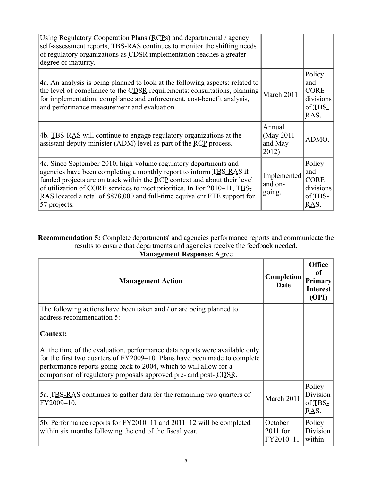| Using Regulatory Cooperation Plans (RCPs) and departmental / agency<br>self-assessment reports, TBS-RAS continues to monitor the shifting needs<br>of regulatory organizations as CDSR implementation reaches a greater<br>degree of maturity.                                                                                                                                                |                                          |                                                              |
|-----------------------------------------------------------------------------------------------------------------------------------------------------------------------------------------------------------------------------------------------------------------------------------------------------------------------------------------------------------------------------------------------|------------------------------------------|--------------------------------------------------------------|
| 4a. An analysis is being planned to look at the following aspects: related to<br>the level of compliance to the CDSR requirements: consultations, planning<br>for implementation, compliance and enforcement, cost-benefit analysis,<br>and performance measurement and evaluation                                                                                                            | March 2011                               | Policy<br>and<br><b>CORE</b><br>divisions<br>of TBS-<br>RAS. |
| 4b. TBS-RAS will continue to engage regulatory organizations at the<br>assistant deputy minister (ADM) level as part of the RCP process.                                                                                                                                                                                                                                                      | Annual<br>(May 2011)<br>and May<br>2012) | ADMO.                                                        |
| 4c. Since September 2010, high-volume regulatory departments and<br>agencies have been completing a monthly report to inform TBS-RAS if<br>funded projects are on track within the RCP context and about their level<br>of utilization of CORE services to meet priorities. In For 2010–11, TBS-<br>RAS located a total of \$878,000 and full-time equivalent FTE support for<br>57 projects. | Implemented<br>and on-<br>going.         | Policy<br>and<br><b>CORE</b><br>divisions<br>of TBS-<br>RAS. |

**Recommendation 5:** Complete departments' and agencies performance reports and communicate the results to ensure that departments and agencies receive the feedback needed.

| <b>Management Response: Agree</b>                                                                                                                                                                                                                                                                 |                                    |                                                            |
|---------------------------------------------------------------------------------------------------------------------------------------------------------------------------------------------------------------------------------------------------------------------------------------------------|------------------------------------|------------------------------------------------------------|
| <b>Management Action</b>                                                                                                                                                                                                                                                                          | Completion<br>Date                 | <b>Office</b><br>of<br>Primary<br><b>Interest</b><br>(OPI) |
| The following actions have been taken and / or are being planned to<br>address recommendation 5:                                                                                                                                                                                                  |                                    |                                                            |
| <b>Context:</b>                                                                                                                                                                                                                                                                                   |                                    |                                                            |
| At the time of the evaluation, performance data reports were available only<br>for the first two quarters of FY2009–10. Plans have been made to complete<br>performance reports going back to 2004, which to will allow for a<br>comparison of regulatory proposals approved pre- and post- CDSR. |                                    |                                                            |
| 5a. TBS-RAS continues to gather data for the remaining two quarters of<br>FY2009-10.                                                                                                                                                                                                              | March 2011                         | Policy<br>Division<br>of TBS-<br>RAS.                      |
| 5b. Performance reports for FY2010–11 and 2011–12 will be completed<br>within six months following the end of the fiscal year.                                                                                                                                                                    | October<br>$2011$ for<br>FY2010-11 | Policy<br>Division<br>within                               |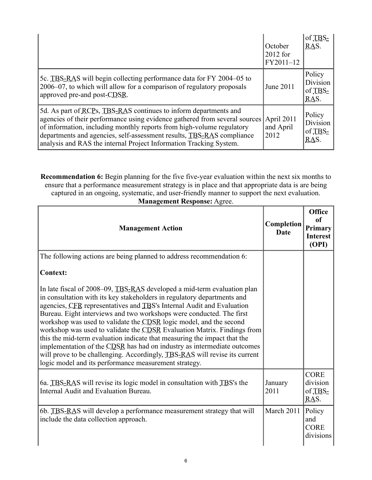|                                                                                                                                                                                                                                                                                                                                                                        | October<br>$2012$ for<br>FY2011-12 | of TBS-<br>RAS.                       |
|------------------------------------------------------------------------------------------------------------------------------------------------------------------------------------------------------------------------------------------------------------------------------------------------------------------------------------------------------------------------|------------------------------------|---------------------------------------|
| 5c. TBS-RAS will begin collecting performance data for FY 2004–05 to<br>2006–07, to which will allow for a comparison of regulatory proposals<br>approved pre-and post-CDSR.                                                                                                                                                                                           | June 2011                          | Policy<br>Division<br>of TBS-<br>RAS. |
| 5d. As part of RCPs, TBS-RAS continues to inform departments and<br>agencies of their performance using evidence gathered from several sources<br>of information, including monthly reports from high-volume regulatory<br>departments and agencies, self-assessment results, TBS-RAS compliance<br>analysis and RAS the internal Project Information Tracking System. | April 2011<br>and April<br>2012    | Policy<br>Division<br>of TBS-<br>RAS. |

**Recommendation 6:** Begin planning for the five five-year evaluation within the next six months to ensure that a performance measurement strategy is in place and that appropriate data is are being captured in an ongoing, systematic, and user-friendly manner to support the next evaluation. **Management Response:** Agree.

| <b>Management Action</b>                                                                                                                                                                                                                                                                                                                                                                                                                                                                                                                                                                                                                                                                                                                           | Completion<br><b>Date</b> | <b>Office</b><br>of<br>Primary<br><b>Interest</b><br>(OPI) |
|----------------------------------------------------------------------------------------------------------------------------------------------------------------------------------------------------------------------------------------------------------------------------------------------------------------------------------------------------------------------------------------------------------------------------------------------------------------------------------------------------------------------------------------------------------------------------------------------------------------------------------------------------------------------------------------------------------------------------------------------------|---------------------------|------------------------------------------------------------|
| The following actions are being planned to address recommendation 6:                                                                                                                                                                                                                                                                                                                                                                                                                                                                                                                                                                                                                                                                               |                           |                                                            |
| <b>Context:</b>                                                                                                                                                                                                                                                                                                                                                                                                                                                                                                                                                                                                                                                                                                                                    |                           |                                                            |
| In late fiscal of 2008–09, TBS-RAS developed a mid-term evaluation plan<br>in consultation with its key stakeholders in regulatory departments and<br>agencies, CER representatives and TBS's Internal Audit and Evaluation<br>Bureau. Eight interviews and two workshops were conducted. The first<br>workshop was used to validate the CDSR logic model, and the second<br>workshop was used to validate the CDSR Evaluation Matrix. Findings from<br>this the mid-term evaluation indicate that measuring the impact that the<br>implementation of the CDSR has had on industry as intermediate outcomes<br>will prove to be challenging. Accordingly, TBS-RAS will revise its current<br>logic model and its performance measurement strategy. |                           |                                                            |
| 6a. TBS-RAS will revise its logic model in consultation with TBS's the<br>Internal Audit and Evaluation Bureau.                                                                                                                                                                                                                                                                                                                                                                                                                                                                                                                                                                                                                                    | January<br>2011           | <b>CORE</b><br>division<br>of TBS-<br>RAS.                 |
| 6b. TBS-RAS will develop a performance measurement strategy that will<br>include the data collection approach.                                                                                                                                                                                                                                                                                                                                                                                                                                                                                                                                                                                                                                     | March 2011                | Policy<br>and<br><b>CORE</b><br>divisions                  |